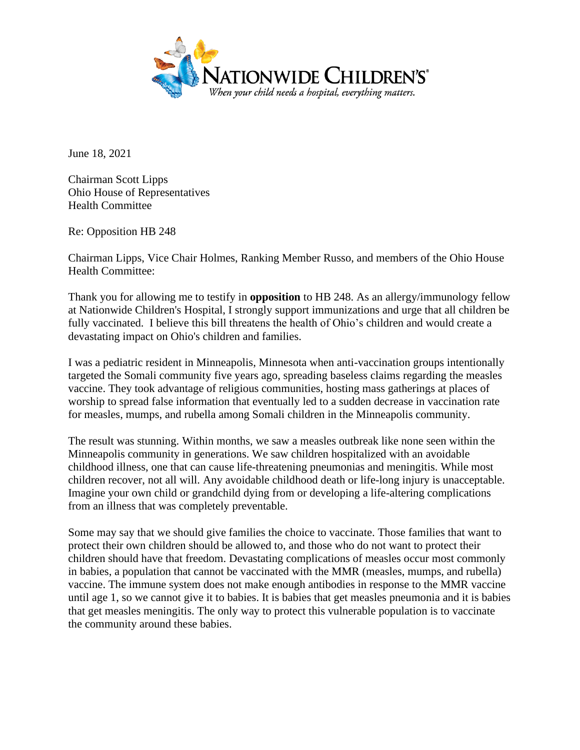

June 18, 2021

Chairman Scott Lipps Ohio House of Representatives Health Committee

Re: Opposition HB 248

Chairman Lipps, Vice Chair Holmes, Ranking Member Russo, and members of the Ohio House Health Committee:

Thank you for allowing me to testify in **opposition** to HB 248. As an allergy/immunology fellow at Nationwide Children's Hospital, I strongly support immunizations and urge that all children be fully vaccinated. I believe this bill threatens the health of Ohio's children and would create a devastating impact on Ohio's children and families.

I was a pediatric resident in Minneapolis, Minnesota when anti-vaccination groups intentionally targeted the Somali community five years ago, spreading baseless claims regarding the measles vaccine. They took advantage of religious communities, hosting mass gatherings at places of worship to spread false information that eventually led to a sudden decrease in vaccination rate for measles, mumps, and rubella among Somali children in the Minneapolis community.

The result was stunning. Within months, we saw a measles outbreak like none seen within the Minneapolis community in generations. We saw children hospitalized with an avoidable childhood illness, one that can cause life-threatening pneumonias and meningitis. While most children recover, not all will. Any avoidable childhood death or life-long injury is unacceptable. Imagine your own child or grandchild dying from or developing a life-altering complications from an illness that was completely preventable.

Some may say that we should give families the choice to vaccinate. Those families that want to protect their own children should be allowed to, and those who do not want to protect their children should have that freedom. Devastating complications of measles occur most commonly in babies, a population that cannot be vaccinated with the MMR (measles, mumps, and rubella) vaccine. The immune system does not make enough antibodies in response to the MMR vaccine until age 1, so we cannot give it to babies. It is babies that get measles pneumonia and it is babies that get measles meningitis. The only way to protect this vulnerable population is to vaccinate the community around these babies.